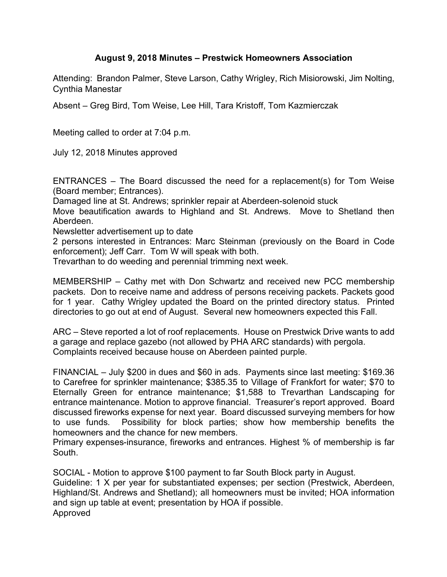## **August 9, 2018 Minutes – Prestwick Homeowners Association**

Attending: Brandon Palmer, Steve Larson, Cathy Wrigley, Rich Misiorowski, Jim Nolting, Cynthia Manestar

Absent – Greg Bird, Tom Weise, Lee Hill, Tara Kristoff, Tom Kazmierczak

Meeting called to order at 7:04 p.m.

July 12, 2018 Minutes approved

ENTRANCES – The Board discussed the need for a replacement(s) for Tom Weise (Board member; Entrances).

Damaged line at St. Andrews; sprinkler repair at Aberdeen-solenoid stuck

Move beautification awards to Highland and St. Andrews. Move to Shetland then Aberdeen.

Newsletter advertisement up to date

2 persons interested in Entrances: Marc Steinman (previously on the Board in Code enforcement); Jeff Carr. Tom W will speak with both.

Trevarthan to do weeding and perennial trimming next week.

MEMBERSHIP – Cathy met with Don Schwartz and received new PCC membership packets. Don to receive name and address of persons receiving packets. Packets good for 1 year. Cathy Wrigley updated the Board on the printed directory status. Printed directories to go out at end of August. Several new homeowners expected this Fall.

ARC – Steve reported a lot of roof replacements. House on Prestwick Drive wants to add a garage and replace gazebo (not allowed by PHA ARC standards) with pergola. Complaints received because house on Aberdeen painted purple.

FINANCIAL – July \$200 in dues and \$60 in ads. Payments since last meeting: \$169.36 to Carefree for sprinkler maintenance; \$385.35 to Village of Frankfort for water; \$70 to Eternally Green for entrance maintenance; \$1,588 to Trevarthan Landscaping for entrance maintenance. Motion to approve financial. Treasurer's report approved. Board discussed fireworks expense for next year. Board discussed surveying members for how to use funds. Possibility for block parties; show how membership benefits the homeowners and the chance for new members.

Primary expenses-insurance, fireworks and entrances. Highest % of membership is far South.

SOCIAL - Motion to approve \$100 payment to far South Block party in August. Guideline: 1 X per year for substantiated expenses; per section (Prestwick, Aberdeen, Highland/St. Andrews and Shetland); all homeowners must be invited; HOA information and sign up table at event; presentation by HOA if possible. Approved